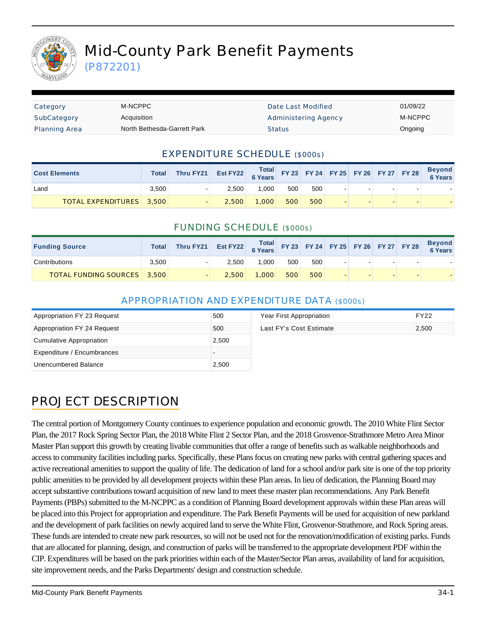

(P872201)

| Category             | M-NCPPC                     | Date Last Modified   | 01/09/22 |
|----------------------|-----------------------------|----------------------|----------|
| SubCategory          | Acquisition                 | Administering Agency | M-NCPPC  |
| <b>Planning Area</b> | North Bethesda-Garrett Park | <b>Status</b>        | Ongoing  |

### EXPENDITURE SCHEDULE (\$000s)

| <b>Cost Elements</b>            | <b>Total</b> | Thru FY21 Est FY22 6 Years FY23 FY24 FY25 FY26 FY27 FY28 |       |       |     |     |  |  | <b>Beyond</b><br>6 Years |
|---------------------------------|--------------|----------------------------------------------------------|-------|-------|-----|-----|--|--|--------------------------|
| Land                            | 3.500        |                                                          | 2.500 | 1.000 | 500 | 500 |  |  |                          |
| <b>TOTAL EXPENDITURES</b> 3,500 |              |                                                          | 2.500 | 1,000 | 500 | 500 |  |  |                          |

#### FUNDING SCHEDULE (\$000s)

| <b>Funding Source</b>              | <b>Total</b> | Thru FY21 | Est FY22 Total FY23 FY24 FY25 FY26 FY27 FY28 |       |     |     |  |  | <b>Beyond</b><br>6 Years |
|------------------------------------|--------------|-----------|----------------------------------------------|-------|-----|-----|--|--|--------------------------|
| Contributions                      | 3,500        |           | 2.500                                        | 000.1 | 500 | 500 |  |  |                          |
| <b>TOTAL FUNDING SOURCES</b> 3,500 |              |           | 2,500                                        | 1,000 | 500 | 500 |  |  |                          |

### APPROPRIATION AND EXPENDITURE DATA (\$000s)

| Appropriation FY 23 Request | 500   | Year First Appropriation | FY22  |
|-----------------------------|-------|--------------------------|-------|
| Appropriation FY 24 Request | 500   | Last FY's Cost Estimate  | 2,500 |
| Cumulative Appropriation    | 2,500 |                          |       |
| Expenditure / Encumbrances  |       |                          |       |
| Unencumbered Balance        | 2,500 |                          |       |

## PROJECT DESCRIPTION

The central portion of Montgomery County continues to experience population and economic growth. The 2010 White Flint Sector Plan, the 2017 Rock Spring Sector Plan, the 2018 White Flint 2 Sector Plan, and the 2018 Grosvenor-Strathmore Metro Area Minor Master Plan support this growth by creating livable communities that offer a range of benefits such as walkable neighborhoods and access to community facilities including parks. Specifically, these Plans focus on creating new parks with central gathering spaces and active recreational amenities to support the quality of life. The dedication of land for a school and/or park site is one of the top priority public amenities to be provided by all development projects within these Plan areas. In lieu of dedication, the Planning Board may accept substantive contributions toward acquisition of new land to meet these master plan recommendations. Any Park Benefit Payments (PBPs) submitted to the M-NCPPC as a condition of Planning Board development approvals within these Plan areas will be placed into this Project for appropriation and expenditure. The Park Benefit Payments will be used for acquisition of new parkland and the development of park facilities on newly acquired land to serve the White Flint, Grosvenor-Strathmore, and Rock Spring areas. These funds are intended to create new park resources, so will not be used not for the renovation/modification of existing parks. Funds that are allocated for planning, design, and construction of parks will be transferred to the appropriate development PDF within the CIP. Expenditures will be based on the park priorities within each of the Master/Sector Plan areas, availability of land for acquisition, site improvement needs, and the Parks Departments' design and construction schedule.